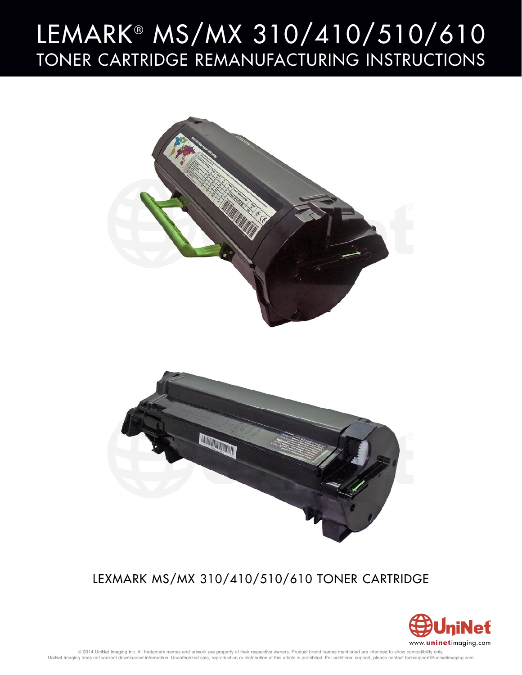# LEMARK® MS/MX 310/410/510/610 TONER CARTRIDGE REMANUFACTURING INSTRUCTIONS



## LEXMARK MS/MX 310/410/510/610 TONER CARTRIDGE

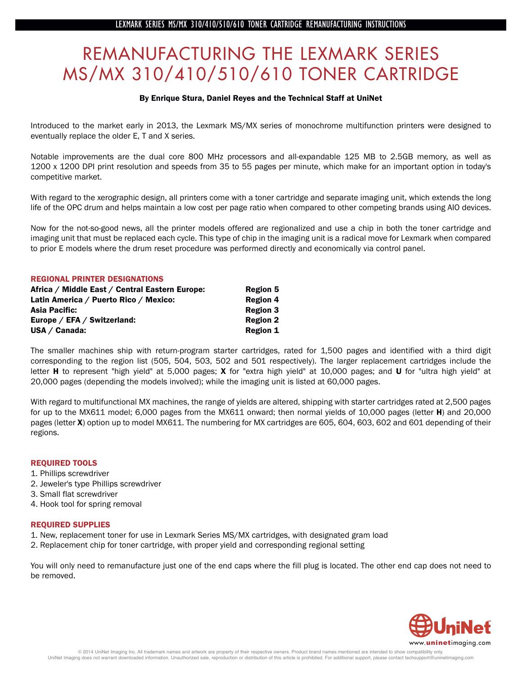### REMANUFACTURING THE LEXMARK SERIES  $K/MX$  310/410/510/610 TONER CARTRIDG  $\frac{1}{\sqrt{2}}$

#### By Enrique Stura, Daniel Reyes and the Technical Staff at UniNet

Introduced to the market early in 2013, the Lexmark MS/MX series of monochrome multifunction printers were designed to eventually replace the older E, T and X series.

Notable improvements are the dual core 800 MHz processors and all-expandable 125 MB to 2.5GB memory, as well as 1200 x 1200 DPI print resolution and speeds from 35 to 55 pages per minute, which make for an important option in today's competitive market.

With regard to the xerographic design, all printers come with a toner cartridge and separate imaging unit, which extends the long life of the OPC drum and helps maintain a low cost per page ratio when compared to other competing brands using AIO devices.

Now for the not-so-good news, all the printer models offered are regionalized and use a chip in both the toner cartridge and imaging unit that must be replaced each cycle. This type of chip in the imaging unit is a radical move for Lexmark when compared to prior E models where the drum reset procedure was performed directly and economically via control panel.

#### REGIONAL PRINTER DESIGNATIONS

| Africa / Middle East / Central Eastern Europe: | <b>Region 5</b> |
|------------------------------------------------|-----------------|
| Latin America / Puerto Rico / Mexico:          | <b>Region 4</b> |
| Asia Pacific:                                  | <b>Region 3</b> |
| Europe / EFA / Switzerland:                    | <b>Region 2</b> |
| $USA / Canada$ :                               | <b>Region 1</b> |

The smaller machines ship with return-program starter cartridges, rated for 1,500 pages and identified with a third digit corresponding to the region list (505, 504, 503, 502 and 501 respectively). The larger replacement cartridges include the letter **H** to represent "high yield" at 5,000 pages; X for "extra high yield" at 10,000 pages; and U for "ultra high yield" at 20,000 pages (depending the models involved); while the imaging unit is listed at 60,000 pages.

With regard to multifunctional MX machines, the range of yields are altered, shipping with starter cartridges rated at 2,500 pages for up to the MX611 model; 6,000 pages from the MX611 onward; then normal yields of 10,000 pages (letter **H**) and 20,000 pages (letter X) option up to model MX611. The numbering for MX cartridges are 605, 604, 603, 602 and 601 depending of their regions.

#### REQUIRED TOOLS

- 1. Phillips screwdriver
- 2. Jeweler's type Phillips screwdriver
- 3. Small flat screwdriver
- 4. Hook tool for spring removal

#### REQUIRED SUPPLIES

- 1. New, replacement toner for use in Lexmark Series MS/MX cartridges, with designated gram load
- 2. Replacement chip for toner cartridge, with proper yield and corresponding regional setting

You will only need to remanufacture just one of the end caps where the fill plug is located. The other end cap does not need to be removed.

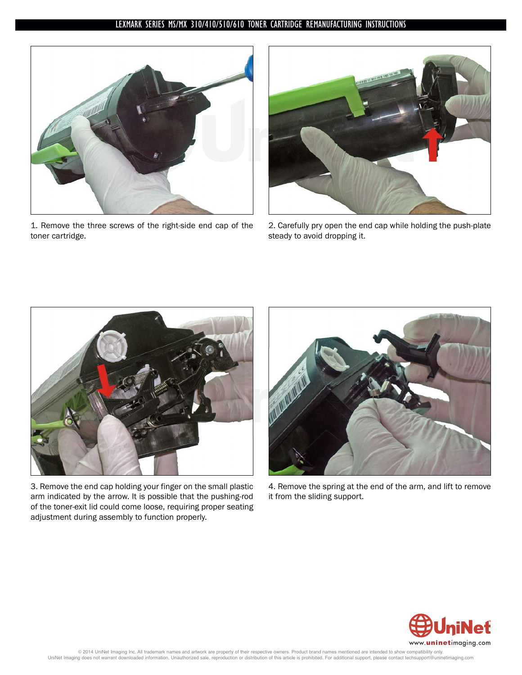

1. Remove the three screws of the right-side end cap of the toner cartridge.



2. Carefully pry open the end cap while holding the push-plate steady to avoid dropping it.



3. Remove the end cap holding your finger on the small plastic arm indicated by the arrow. It is possible that the pushing-rod of the toner-exit lid could come loose, requiring proper seating adjustment during assembly to function properly.



4. Remove the spring at the end of the arm, and lift to remove it from the sliding support.

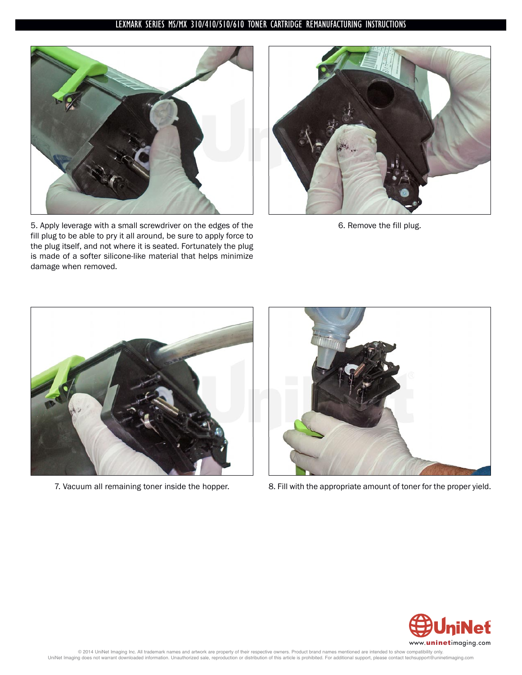

5. Apply leverage with a small screwdriver on the edges of the fill plug to be able to pry it all around, be sure to apply force to the plug itself, and not where it is seated. Fortunately the plug is made of a softer silicone-like material that helps minimize damage when removed.



6. Remove the fill plug.





7. Vacuum all remaining toner inside the hopper. 8. Fill with the appropriate amount of toner for the proper yield.

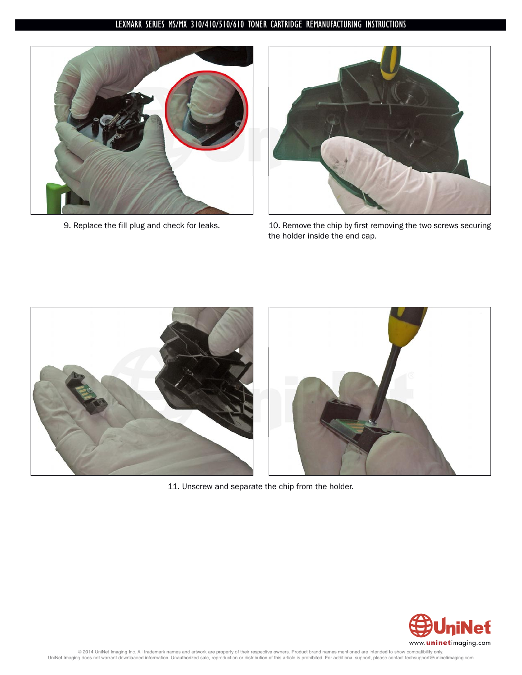



9. Replace the fill plug and check for leaks. 10. Remove the chip by first removing the two screws securing the holder inside the end cap.



11. Unscrew and separate the chip from the holder.

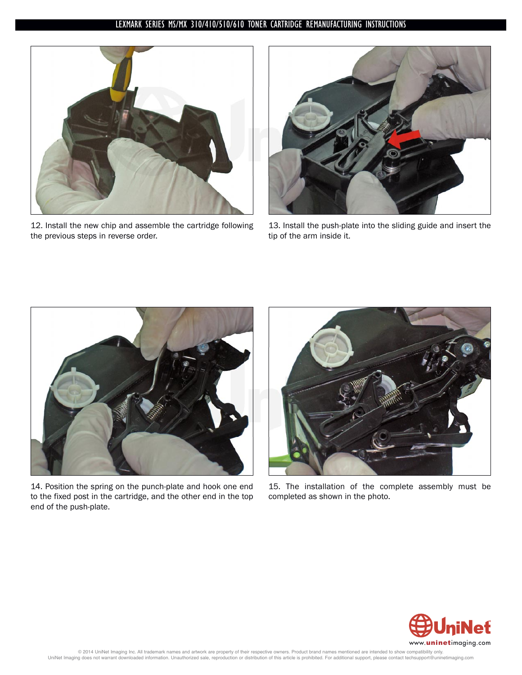

12. Install the new chip and assemble the cartridge following the previous steps in reverse order.



13. Install the push-plate into the sliding guide and insert the tip of the arm inside it.



14. Position the spring on the punch-plate and hook one end to the fixed post in the cartridge, and the other end in the top end of the push-plate.



15. The installation of the complete assembly must be completed as shown in the photo.

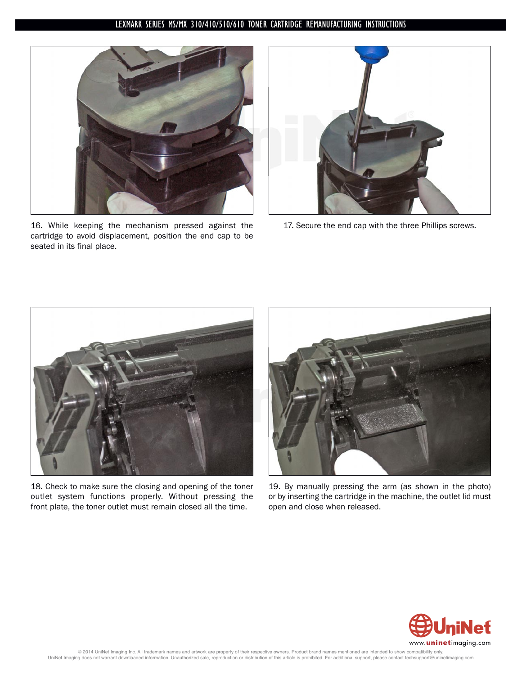

16. While keeping the mechanism pressed against the cartridge to avoid displacement, position the end cap to be seated in its final place.



17. Secure the end cap with the three Phillips screws.



18. Check to make sure the closing and opening of the toner outlet system functions properly. Without pressing the front plate, the toner outlet must remain closed all the time.



19. By manually pressing the arm (as shown in the photo) or by inserting the cartridge in the machine, the outlet lid must open and close when released.